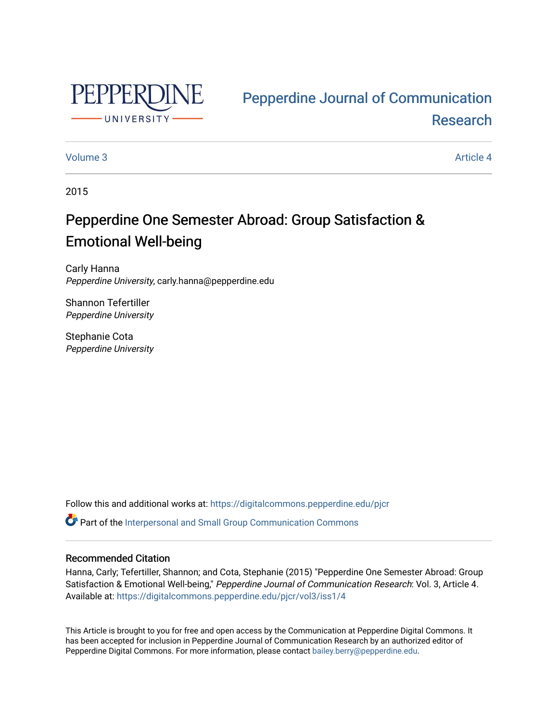

# [Pepperdine Journal of Communication](https://digitalcommons.pepperdine.edu/pjcr)  [Research](https://digitalcommons.pepperdine.edu/pjcr)

#### [Volume 3](https://digitalcommons.pepperdine.edu/pjcr/vol3) Article 4

2015

# Pepperdine One Semester Abroad: Group Satisfaction & Emotional Well-being

Carly Hanna Pepperdine University, carly.hanna@pepperdine.edu

Shannon Tefertiller Pepperdine University

Stephanie Cota Pepperdine University

Follow this and additional works at: [https://digitalcommons.pepperdine.edu/pjcr](https://digitalcommons.pepperdine.edu/pjcr?utm_source=digitalcommons.pepperdine.edu%2Fpjcr%2Fvol3%2Fiss1%2F4&utm_medium=PDF&utm_campaign=PDFCoverPages)

**P** Part of the Interpersonal and Small Group Communication Commons

#### Recommended Citation

Hanna, Carly; Tefertiller, Shannon; and Cota, Stephanie (2015) "Pepperdine One Semester Abroad: Group Satisfaction & Emotional Well-being," Pepperdine Journal of Communication Research: Vol. 3, Article 4. Available at: [https://digitalcommons.pepperdine.edu/pjcr/vol3/iss1/4](https://digitalcommons.pepperdine.edu/pjcr/vol3/iss1/4?utm_source=digitalcommons.pepperdine.edu%2Fpjcr%2Fvol3%2Fiss1%2F4&utm_medium=PDF&utm_campaign=PDFCoverPages) 

This Article is brought to you for free and open access by the Communication at Pepperdine Digital Commons. It has been accepted for inclusion in Pepperdine Journal of Communication Research by an authorized editor of Pepperdine Digital Commons. For more information, please contact [bailey.berry@pepperdine.edu](mailto:bailey.berry@pepperdine.edu).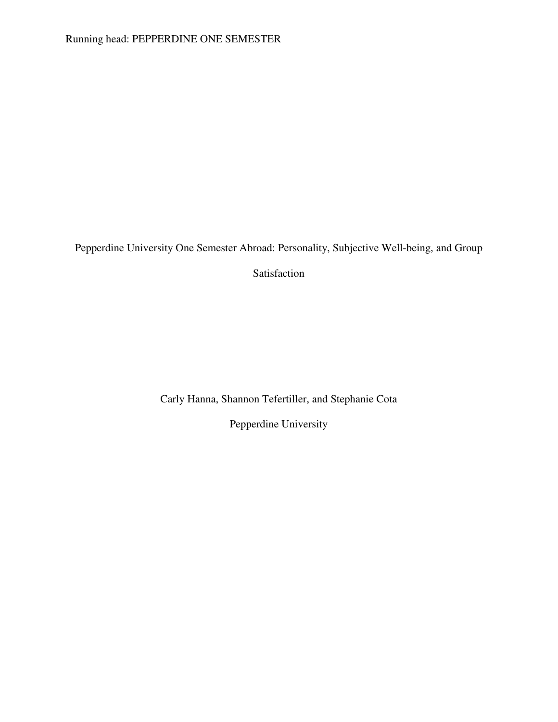Pepperdine University One Semester Abroad: Personality, Subjective Well-being, and Group

Satisfaction

Carly Hanna, Shannon Tefertiller, and Stephanie Cota

Pepperdine University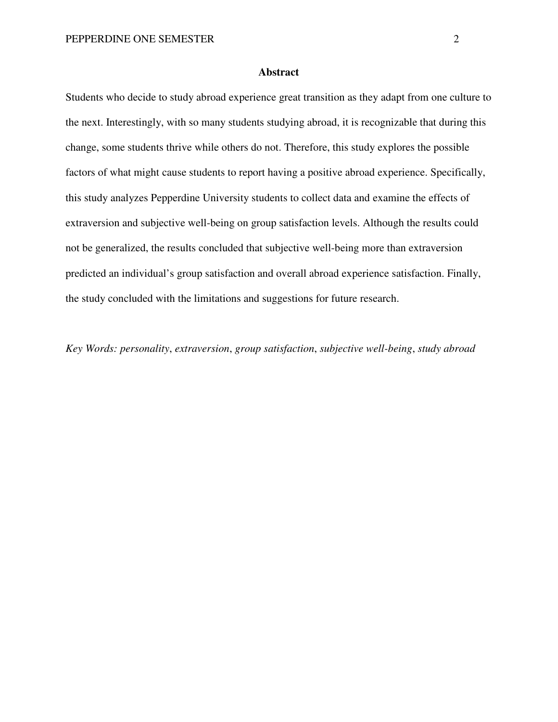#### **Abstract**

Students who decide to study abroad experience great transition as they adapt from one culture to the next. Interestingly, with so many students studying abroad, it is recognizable that during this change, some students thrive while others do not. Therefore, this study explores the possible factors of what might cause students to report having a positive abroad experience. Specifically, this study analyzes Pepperdine University students to collect data and examine the effects of extraversion and subjective well-being on group satisfaction levels. Although the results could not be generalized, the results concluded that subjective well-being more than extraversion predicted an individual's group satisfaction and overall abroad experience satisfaction. Finally, the study concluded with the limitations and suggestions for future research.

*Key Words: personality*, *extraversion*, *group satisfaction*, *subjective well-being*, *study abroad*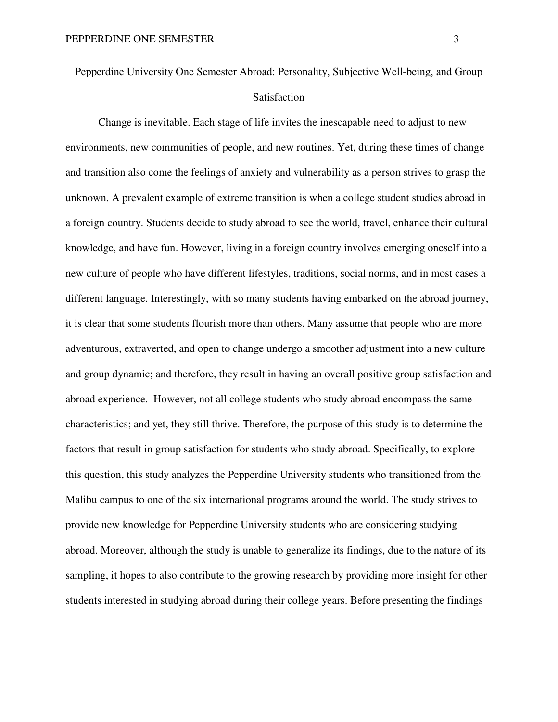Pepperdine University One Semester Abroad: Personality, Subjective Well-being, and Group Satisfaction

Change is inevitable. Each stage of life invites the inescapable need to adjust to new environments, new communities of people, and new routines. Yet, during these times of change and transition also come the feelings of anxiety and vulnerability as a person strives to grasp the unknown. A prevalent example of extreme transition is when a college student studies abroad in a foreign country. Students decide to study abroad to see the world, travel, enhance their cultural knowledge, and have fun. However, living in a foreign country involves emerging oneself into a new culture of people who have different lifestyles, traditions, social norms, and in most cases a different language. Interestingly, with so many students having embarked on the abroad journey, it is clear that some students flourish more than others. Many assume that people who are more adventurous, extraverted, and open to change undergo a smoother adjustment into a new culture and group dynamic; and therefore, they result in having an overall positive group satisfaction and abroad experience. However, not all college students who study abroad encompass the same characteristics; and yet, they still thrive. Therefore, the purpose of this study is to determine the factors that result in group satisfaction for students who study abroad. Specifically, to explore this question, this study analyzes the Pepperdine University students who transitioned from the Malibu campus to one of the six international programs around the world. The study strives to provide new knowledge for Pepperdine University students who are considering studying abroad. Moreover, although the study is unable to generalize its findings, due to the nature of its sampling, it hopes to also contribute to the growing research by providing more insight for other students interested in studying abroad during their college years. Before presenting the findings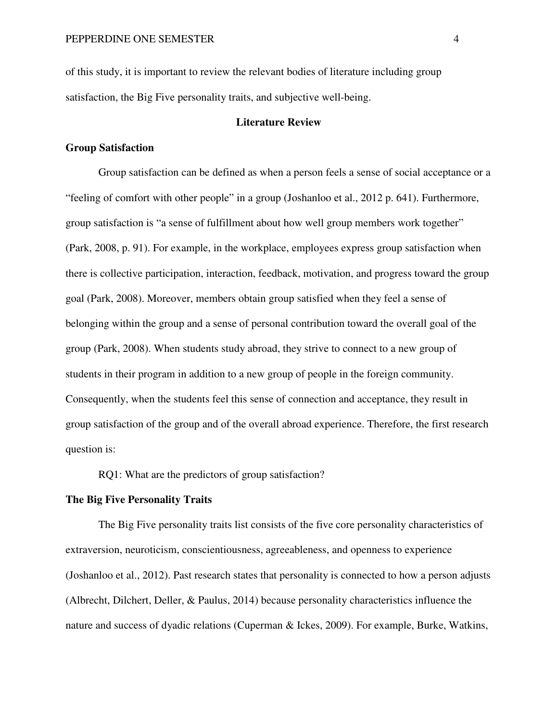of this study, it is important to review the relevant bodies of literature including group satisfaction, the Big Five personality traits, and subjective well-being.

#### **Literature Review**

#### **Group Satisfaction**

Group satisfaction can be defined as when a person feels a sense of social acceptance or a "feeling of comfort with other people" in a group (Joshanloo et al., 2012 p. 641). Furthermore, group satisfaction is "a sense of fulfillment about how well group members work together" (Park, 2008, p. 91). For example, in the workplace, employees express group satisfaction when there is collective participation, interaction, feedback, motivation, and progress toward the group goal (Park, 2008). Moreover, members obtain group satisfied when they feel a sense of belonging within the group and a sense of personal contribution toward the overall goal of the group (Park, 2008). When students study abroad, they strive to connect to a new group of students in their program in addition to a new group of people in the foreign community. Consequently, when the students feel this sense of connection and acceptance, they result in group satisfaction of the group and of the overall abroad experience. Therefore, the first research question is:

RQ1: What are the predictors of group satisfaction?

#### **The Big Five Personality Traits**

The Big Five personality traits list consists of the five core personality characteristics of extraversion, neuroticism, conscientiousness, agreeableness, and openness to experience (Joshanloo et al., 2012). Past research states that personality is connected to how a person adjusts (Albrecht, Dilchert, Deller, & Paulus, 2014) because personality characteristics influence the nature and success of dyadic relations (Cuperman & Ickes, 2009). For example, Burke, Watkins,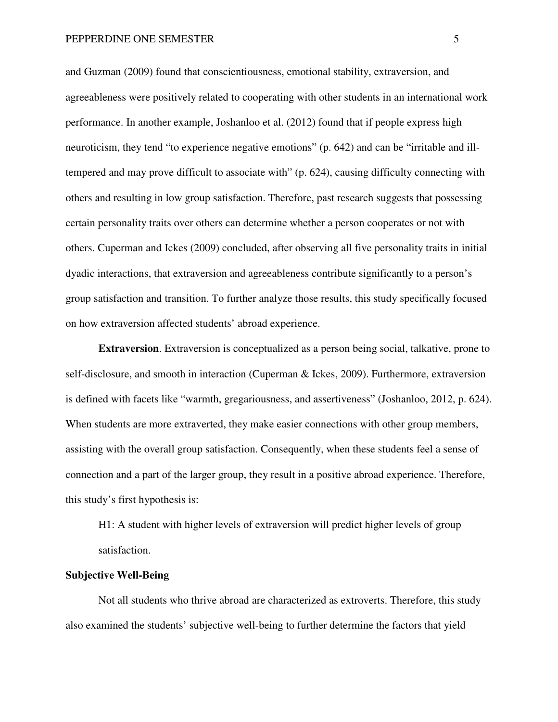and Guzman (2009) found that conscientiousness, emotional stability, extraversion, and agreeableness were positively related to cooperating with other students in an international work performance. In another example, Joshanloo et al. (2012) found that if people express high neuroticism, they tend "to experience negative emotions" (p. 642) and can be "irritable and illtempered and may prove difficult to associate with" (p. 624), causing difficulty connecting with others and resulting in low group satisfaction. Therefore, past research suggests that possessing certain personality traits over others can determine whether a person cooperates or not with others. Cuperman and Ickes (2009) concluded, after observing all five personality traits in initial dyadic interactions, that extraversion and agreeableness contribute significantly to a person's group satisfaction and transition. To further analyze those results, this study specifically focused on how extraversion affected students' abroad experience.

**Extraversion**. Extraversion is conceptualized as a person being social, talkative, prone to self-disclosure, and smooth in interaction (Cuperman & Ickes, 2009). Furthermore, extraversion is defined with facets like "warmth, gregariousness, and assertiveness" (Joshanloo, 2012, p. 624). When students are more extraverted, they make easier connections with other group members, assisting with the overall group satisfaction. Consequently, when these students feel a sense of connection and a part of the larger group, they result in a positive abroad experience. Therefore, this study's first hypothesis is:

H1: A student with higher levels of extraversion will predict higher levels of group satisfaction.

#### **Subjective Well-Being**

Not all students who thrive abroad are characterized as extroverts. Therefore, this study also examined the students' subjective well-being to further determine the factors that yield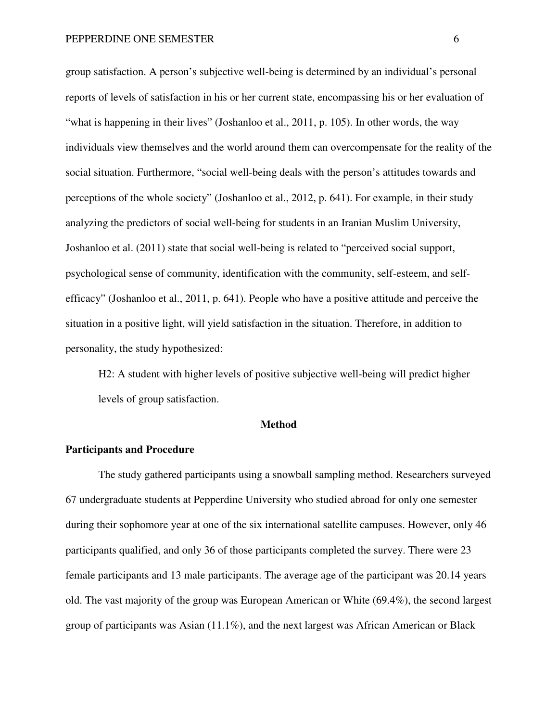group satisfaction. A person's subjective well-being is determined by an individual's personal reports of levels of satisfaction in his or her current state, encompassing his or her evaluation of "what is happening in their lives" (Joshanloo et al., 2011, p. 105). In other words, the way individuals view themselves and the world around them can overcompensate for the reality of the social situation. Furthermore, "social well-being deals with the person's attitudes towards and perceptions of the whole society" (Joshanloo et al., 2012, p. 641). For example, in their study analyzing the predictors of social well-being for students in an Iranian Muslim University, Joshanloo et al. (2011) state that social well-being is related to "perceived social support, psychological sense of community, identification with the community, self-esteem, and selfefficacy" (Joshanloo et al., 2011, p. 641). People who have a positive attitude and perceive the situation in a positive light, will yield satisfaction in the situation. Therefore, in addition to personality, the study hypothesized:

H2: A student with higher levels of positive subjective well-being will predict higher levels of group satisfaction.

#### **Method**

#### **Participants and Procedure**

The study gathered participants using a snowball sampling method. Researchers surveyed 67 undergraduate students at Pepperdine University who studied abroad for only one semester during their sophomore year at one of the six international satellite campuses. However, only 46 participants qualified, and only 36 of those participants completed the survey. There were 23 female participants and 13 male participants. The average age of the participant was 20.14 years old. The vast majority of the group was European American or White (69.4%), the second largest group of participants was Asian (11.1%), and the next largest was African American or Black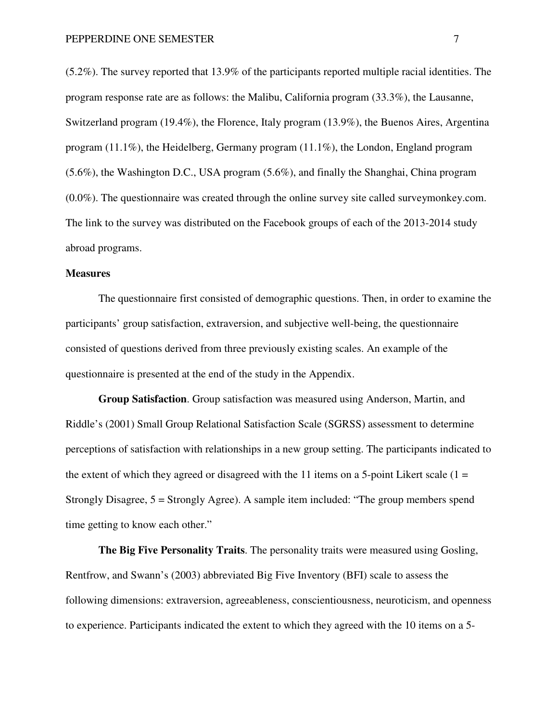(5.2%). The survey reported that 13.9% of the participants reported multiple racial identities. The program response rate are as follows: the Malibu, California program (33.3%), the Lausanne, Switzerland program (19.4%), the Florence, Italy program (13.9%), the Buenos Aires, Argentina program (11.1%), the Heidelberg, Germany program (11.1%), the London, England program (5.6%), the Washington D.C., USA program (5.6%), and finally the Shanghai, China program (0.0%). The questionnaire was created through the online survey site called surveymonkey.com. The link to the survey was distributed on the Facebook groups of each of the 2013-2014 study abroad programs.

#### **Measures**

The questionnaire first consisted of demographic questions. Then, in order to examine the participants' group satisfaction, extraversion, and subjective well-being, the questionnaire consisted of questions derived from three previously existing scales. An example of the questionnaire is presented at the end of the study in the Appendix.

**Group Satisfaction**. Group satisfaction was measured using Anderson, Martin, and Riddle's (2001) Small Group Relational Satisfaction Scale (SGRSS) assessment to determine perceptions of satisfaction with relationships in a new group setting. The participants indicated to the extent of which they agreed or disagreed with the 11 items on a 5-point Likert scale  $(1 =$ Strongly Disagree, 5 = Strongly Agree). A sample item included: "The group members spend time getting to know each other."

**The Big Five Personality Traits**. The personality traits were measured using Gosling, Rentfrow, and Swann's (2003) abbreviated Big Five Inventory (BFI) scale to assess the following dimensions: extraversion, agreeableness, conscientiousness, neuroticism, and openness to experience. Participants indicated the extent to which they agreed with the 10 items on a 5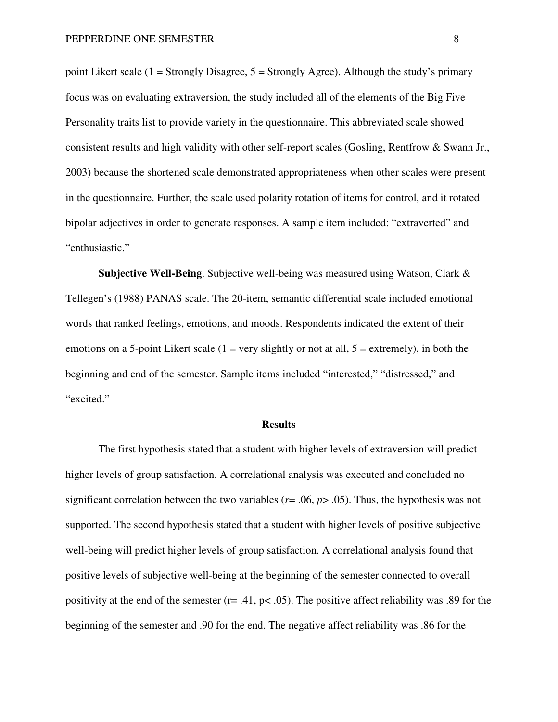point Likert scale (1 = Strongly Disagree,  $5 =$  Strongly Agree). Although the study's primary focus was on evaluating extraversion, the study included all of the elements of the Big Five Personality traits list to provide variety in the questionnaire. This abbreviated scale showed consistent results and high validity with other self-report scales (Gosling, Rentfrow & Swann Jr., 2003) because the shortened scale demonstrated appropriateness when other scales were present in the questionnaire. Further, the scale used polarity rotation of items for control, and it rotated bipolar adjectives in order to generate responses. A sample item included: "extraverted" and "enthusiastic."

**Subjective Well-Being**. Subjective well-being was measured using Watson, Clark & Tellegen's (1988) PANAS scale. The 20-item, semantic differential scale included emotional words that ranked feelings, emotions, and moods. Respondents indicated the extent of their emotions on a 5-point Likert scale  $(1 = \text{very slightly or not at all}, 5 = \text{extremely})$ , in both the beginning and end of the semester. Sample items included "interested," "distressed," and "excited."

#### **Results**

The first hypothesis stated that a student with higher levels of extraversion will predict higher levels of group satisfaction. A correlational analysis was executed and concluded no significant correlation between the two variables ( $r = .06$ ,  $p > .05$ ). Thus, the hypothesis was not supported. The second hypothesis stated that a student with higher levels of positive subjective well-being will predict higher levels of group satisfaction. A correlational analysis found that positive levels of subjective well-being at the beginning of the semester connected to overall positivity at the end of the semester (r= .41, p< .05). The positive affect reliability was .89 for the beginning of the semester and .90 for the end. The negative affect reliability was .86 for the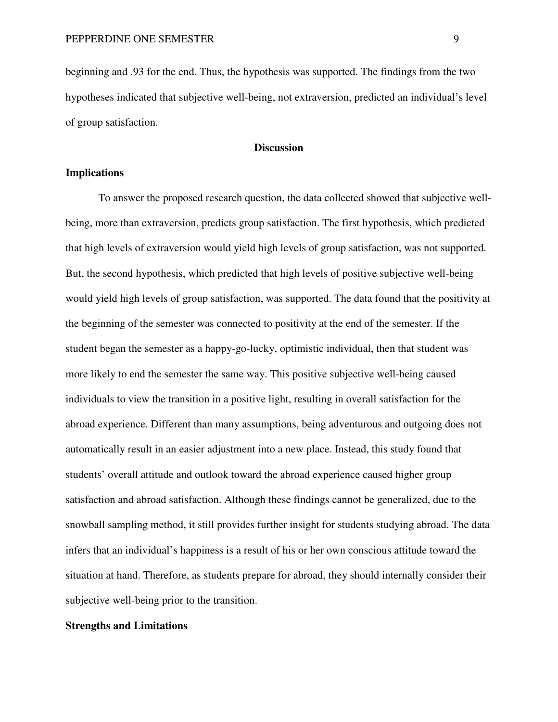beginning and .93 for the end. Thus, the hypothesis was supported. The findings from the two hypotheses indicated that subjective well-being, not extraversion, predicted an individual's level of group satisfaction.

#### **Discussion**

#### **Implications**

To answer the proposed research question, the data collected showed that subjective wellbeing, more than extraversion, predicts group satisfaction. The first hypothesis, which predicted that high levels of extraversion would yield high levels of group satisfaction, was not supported. But, the second hypothesis, which predicted that high levels of positive subjective well-being would yield high levels of group satisfaction, was supported. The data found that the positivity at the beginning of the semester was connected to positivity at the end of the semester. If the student began the semester as a happy-go-lucky, optimistic individual, then that student was more likely to end the semester the same way. This positive subjective well-being caused individuals to view the transition in a positive light, resulting in overall satisfaction for the abroad experience. Different than many assumptions, being adventurous and outgoing does not automatically result in an easier adjustment into a new place. Instead, this study found that students' overall attitude and outlook toward the abroad experience caused higher group satisfaction and abroad satisfaction. Although these findings cannot be generalized, due to the snowball sampling method, it still provides further insight for students studying abroad. The data infers that an individual's happiness is a result of his or her own conscious attitude toward the situation at hand. Therefore, as students prepare for abroad, they should internally consider their subjective well-being prior to the transition.

#### **Strengths and Limitations**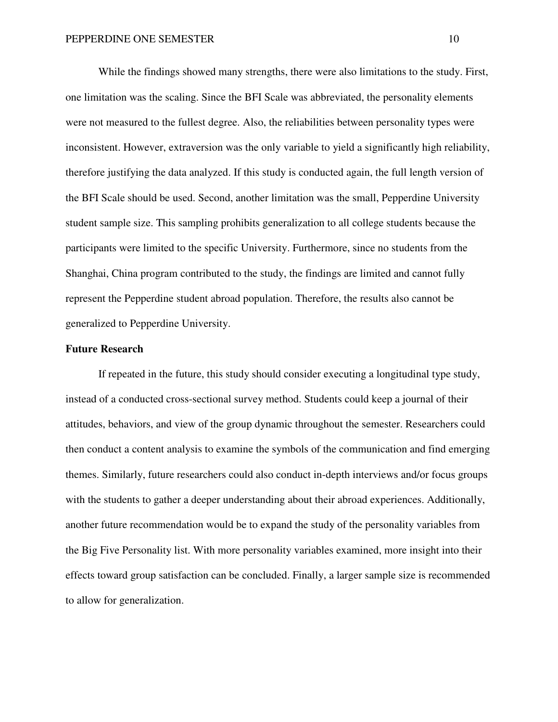While the findings showed many strengths, there were also limitations to the study. First, one limitation was the scaling. Since the BFI Scale was abbreviated, the personality elements were not measured to the fullest degree. Also, the reliabilities between personality types were inconsistent. However, extraversion was the only variable to yield a significantly high reliability, therefore justifying the data analyzed. If this study is conducted again, the full length version of the BFI Scale should be used. Second, another limitation was the small, Pepperdine University student sample size. This sampling prohibits generalization to all college students because the participants were limited to the specific University. Furthermore, since no students from the Shanghai, China program contributed to the study, the findings are limited and cannot fully represent the Pepperdine student abroad population. Therefore, the results also cannot be generalized to Pepperdine University.

#### **Future Research**

If repeated in the future, this study should consider executing a longitudinal type study, instead of a conducted cross-sectional survey method. Students could keep a journal of their attitudes, behaviors, and view of the group dynamic throughout the semester. Researchers could then conduct a content analysis to examine the symbols of the communication and find emerging themes. Similarly, future researchers could also conduct in-depth interviews and/or focus groups with the students to gather a deeper understanding about their abroad experiences. Additionally, another future recommendation would be to expand the study of the personality variables from the Big Five Personality list. With more personality variables examined, more insight into their effects toward group satisfaction can be concluded. Finally, a larger sample size is recommended to allow for generalization.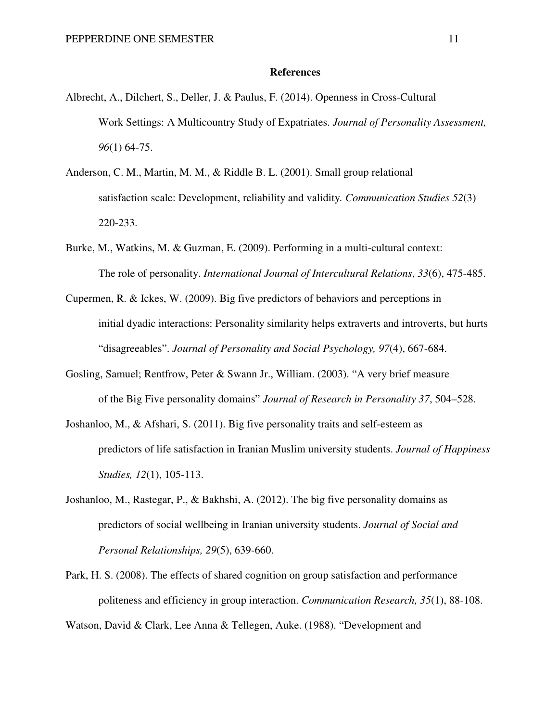#### **References**

- Albrecht, A., Dilchert, S., Deller, J. & Paulus, F. (2014). Openness in Cross-Cultural Work Settings: A Multicountry Study of Expatriates. *Journal of Personality Assessment, 96*(1) 64-75.
- Anderson, C. M., Martin, M. M., & Riddle B. L. (2001). Small group relational satisfaction scale: Development, reliability and validity*. Communication Studies 52*(3) 220-233.
- Burke, M., Watkins, M. & Guzman, E. (2009). Performing in a multi-cultural context: The role of personality. *International Journal of Intercultural Relations*, *33*(6), 475-485.
- Cupermen, R. & Ickes, W. (2009). Big five predictors of behaviors and perceptions in initial dyadic interactions: Personality similarity helps extraverts and introverts, but hurts "disagreeables". *Journal of Personality and Social Psychology, 97*(4), 667-684.
- Gosling, Samuel; Rentfrow, Peter & Swann Jr., William. (2003). "A very brief measure of the Big Five personality domains" *Journal of Research in Personality 37*, 504–528.
- Joshanloo, M., & Afshari, S. (2011). Big five personality traits and self-esteem as predictors of life satisfaction in Iranian Muslim university students. *Journal of Happiness Studies, 12*(1), 105-113.
- Joshanloo, M., Rastegar, P., & Bakhshi, A. (2012). The big five personality domains as predictors of social wellbeing in Iranian university students. *Journal of Social and Personal Relationships, 29*(5), 639-660.
- Park, H. S. (2008). The effects of shared cognition on group satisfaction and performance politeness and efficiency in group interaction. *Communication Research, 35*(1), 88-108.

Watson, David & Clark, Lee Anna & Tellegen, Auke. (1988). "Development and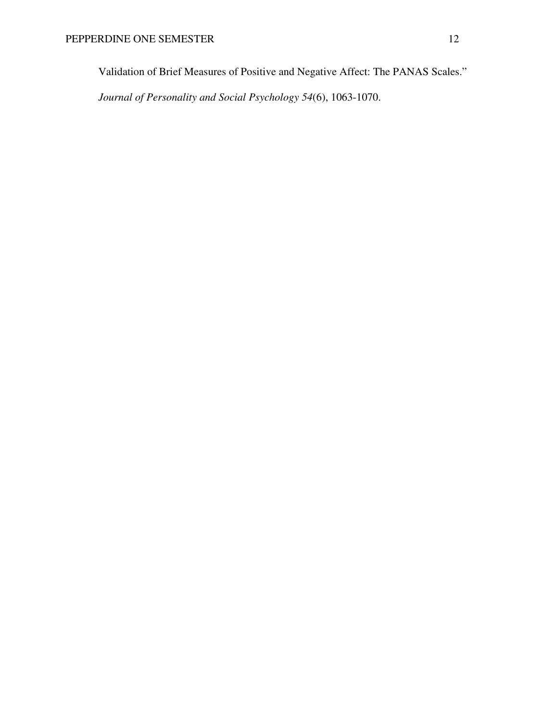Validation of Brief Measures of Positive and Negative Affect: The PANAS Scales."

*Journal of Personality and Social Psychology 54*(6), 1063-1070.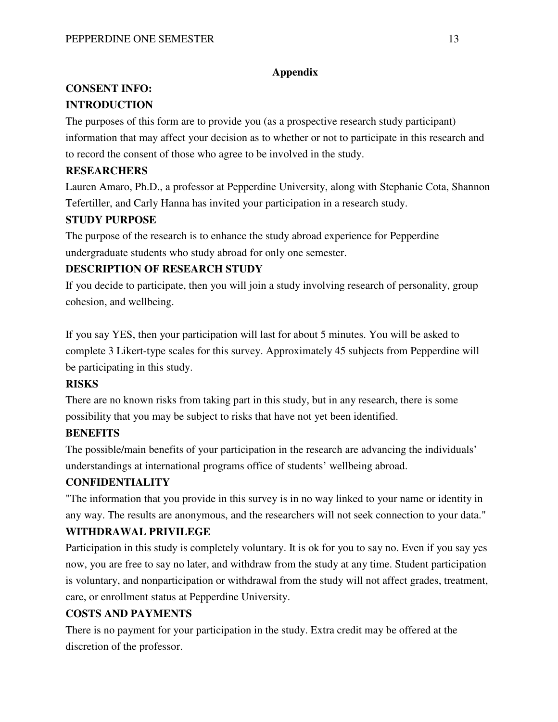### **Appendix**

## **CONSENT INFO:**

### **INTRODUCTION**

The purposes of this form are to provide you (as a prospective research study participant) information that may affect your decision as to whether or not to participate in this research and to record the consent of those who agree to be involved in the study.

### **RESEARCHERS**

Lauren Amaro, Ph.D., a professor at Pepperdine University, along with Stephanie Cota, Shannon Tefertiller, and Carly Hanna has invited your participation in a research study.

### **STUDY PURPOSE**

The purpose of the research is to enhance the study abroad experience for Pepperdine undergraduate students who study abroad for only one semester.

### **DESCRIPTION OF RESEARCH STUDY**

If you decide to participate, then you will join a study involving research of personality, group cohesion, and wellbeing.

If you say YES, then your participation will last for about 5 minutes. You will be asked to complete 3 Likert-type scales for this survey. Approximately 45 subjects from Pepperdine will be participating in this study.

### **RISKS**

There are no known risks from taking part in this study, but in any research, there is some possibility that you may be subject to risks that have not yet been identified.

### **BENEFITS**

The possible/main benefits of your participation in the research are advancing the individuals' understandings at international programs office of students' wellbeing abroad.

### **CONFIDENTIALITY**

"The information that you provide in this survey is in no way linked to your name or identity in any way. The results are anonymous, and the researchers will not seek connection to your data."

### **WITHDRAWAL PRIVILEGE**

Participation in this study is completely voluntary. It is ok for you to say no. Even if you say yes now, you are free to say no later, and withdraw from the study at any time. Student participation is voluntary, and nonparticipation or withdrawal from the study will not affect grades, treatment, care, or enrollment status at Pepperdine University.

### **COSTS AND PAYMENTS**

There is no payment for your participation in the study. Extra credit may be offered at the discretion of the professor.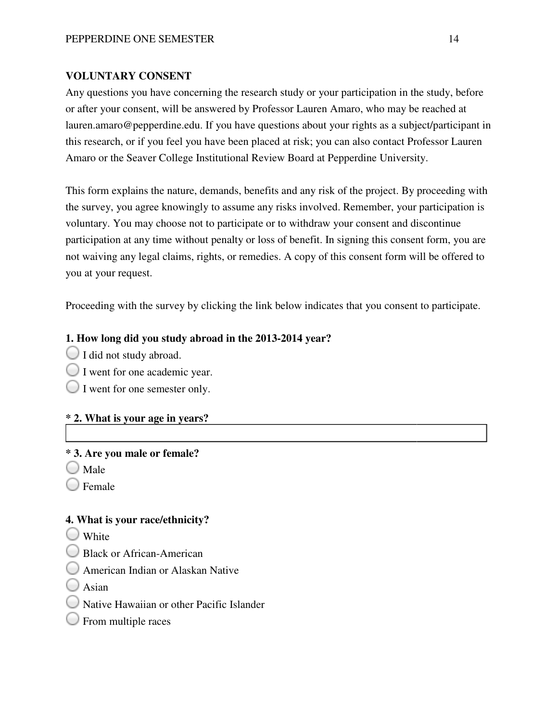### **VOLUNTARY CONSENT**

Any questions you have concerning the research study or your participation in the study, before or after your consent, will be answered by Professor Lauren Amaro, who may be reached at lauren.amaro@pepperdine.edu. If you have questions about your rights as a subject/participant in this research, or if you feel you have been placed at risk; you can also contact Professor Lauren Amaro or the Seaver College Institutional Review Board at Pepperdine University.

This form explains the nature, demands, benefits and any risk of the project. By proceeding with the survey, you agree knowingly to assume any risks involved. Remember, your participation is voluntary. You may choose not to participate or to withdraw your consent and discontinue participation at any time without penalty or loss of benefit. In signing this consent form, you are not waiving any legal claims, rights, or remedies. A copy of this consent form will be offered to you at your request.

Proceeding with the survey by clicking the link below indicates that you consent to participate.

### **1. How long did you study abroad abroad in the 2013-2014 year?**

- I did not study abroad.
- I went for one academic year.
- $\bigcup$  I went for one semester only.

### **\* 2. What is your age in years?**

### **\* 3. Are you male or female?**

- $\bigcup$  Male
- $\bigcup$  Female

### **4. What is your race/ethnicity?**

- White
- Black or African-American
- American Indian or Alaskan Native
- $\bigcup$  Asian
- Native Hawaiian or other Pacific Pacific Islander
- $\bigcirc$  From multiple races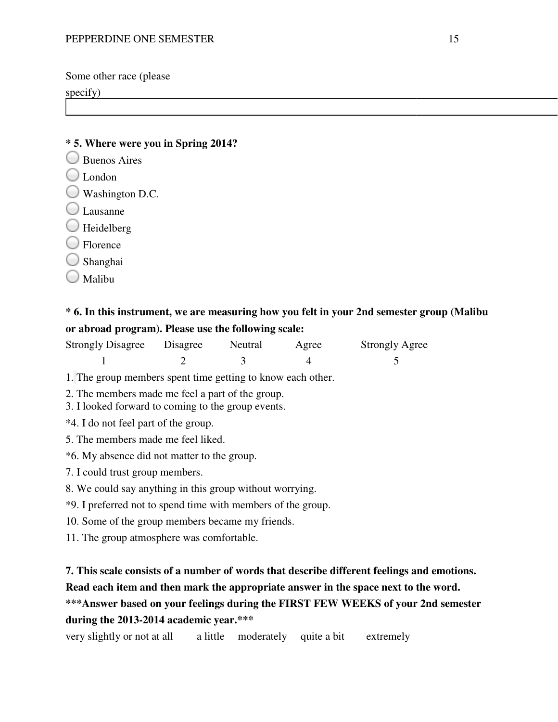Some other race (please

specify)

### **\* 5. Where were you in Spring 2014?**

- Buenos Aires
- $\bigcirc$  London
- Washington D.C.
- Lausanne
- $\bigcirc$  Heidelberg
- Florence
- Shanghai
- Malibu

# **\* 6. In this instrument, we are measuring measuring how you felt in your 2nd semester semester group (Malibu or abroad program). Please use use the following scale:**

| <b>Strongly Disagree</b> | Disagree | Neutral | Agree | <b>Strongly Agree</b> |
|--------------------------|----------|---------|-------|-----------------------|
|                          |          |         |       |                       |

- 1. The group members spent time getting to know each other.
- 2. The members made me feel a part of the group.
- 3. I looked forward to coming to the group events.
- \*4. I do not feel part of the group.
- 5. The members made me feel liked.
- \*6. My absence did not matter to the group.
- 7. I could trust group members.
- 8. We could say anything in this group without worrying. The group members spent time getting to know each other.<br>The members made me feel a part of the group.<br>I looked forward to coming to the group events.<br>4. I do not feel part of the group.<br>The members made me feel liked.<br>6.
- \*9. I preferred not to spend time with members of the group.
- \*9. I preferred not to spend time with members of the 10. Some of the group members became my friends.
- 11. The group atmosphere was comfortable.

### **7. This scale consists of a number of words that describe different feelings and emotions.**

Read each item and then mark the appropriate answer in the space next to the word.

# \*\*\*Answer based on your feelings during the FIRST FEW WEEKS of your 2nd semester **during the 2013-2014 academic academic year.\*\*\***

very slightly or not at all a little moderately quite a bit extremely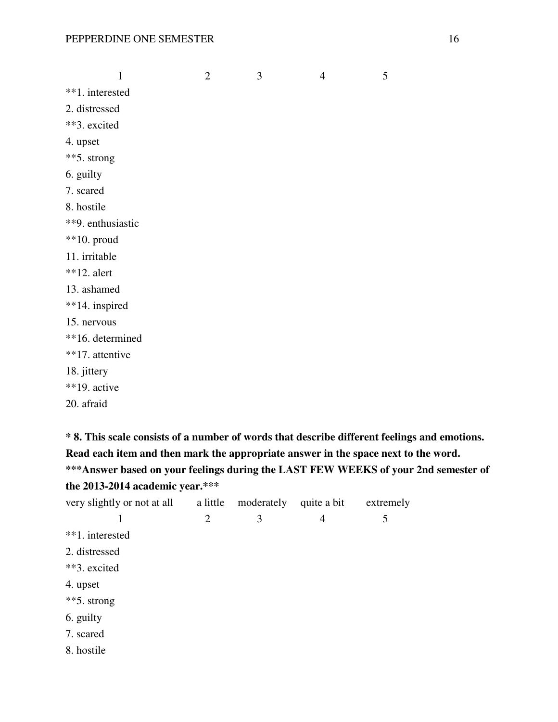|                   | $\mathbf{1}$ | $\overline{2}$ | 3 | $\overline{4}$ | 5 |
|-------------------|--------------|----------------|---|----------------|---|
| **1. interested   |              |                |   |                |   |
| 2. distressed     |              |                |   |                |   |
| **3. excited      |              |                |   |                |   |
| 4. upset          |              |                |   |                |   |
| **5. strong       |              |                |   |                |   |
| 6. guilty         |              |                |   |                |   |
| 7. scared         |              |                |   |                |   |
| 8. hostile        |              |                |   |                |   |
| **9. enthusiastic |              |                |   |                |   |
| $**10$ . proud    |              |                |   |                |   |
| 11. irritable     |              |                |   |                |   |
| $*$ *12. alert    |              |                |   |                |   |
| 13. ashamed       |              |                |   |                |   |
| **14. inspired    |              |                |   |                |   |
| 15. nervous       |              |                |   |                |   |
| **16. determined  |              |                |   |                |   |
| **17. attentive   |              |                |   |                |   |
| 18. jittery       |              |                |   |                |   |
| **19. active      |              |                |   |                |   |
| 20. afraid        |              |                |   |                |   |
|                   |              |                |   |                |   |

**\* 8. This scale consists of a number of words that describe different feelings and emotions. Read each item and then mark the appropriate answer in the space next to the word. \*\*\*Answer based on your feelings during the LAST FEW WEEKS of your 2nd semester of the 2013-2014 academic year.\*\*\*** 

| very slightly or not at all | a little       | moderately | quite a bit | extremely |
|-----------------------------|----------------|------------|-------------|-----------|
|                             | $\overline{2}$ | 3          | 4           | 5         |
| **1. interested             |                |            |             |           |
| 2. distressed               |                |            |             |           |
| **3. excited                |                |            |             |           |
| 4. upset                    |                |            |             |           |
| **5. strong                 |                |            |             |           |
| 6. guilty                   |                |            |             |           |
| 7. scared                   |                |            |             |           |
| 8. hostile                  |                |            |             |           |
|                             |                |            |             |           |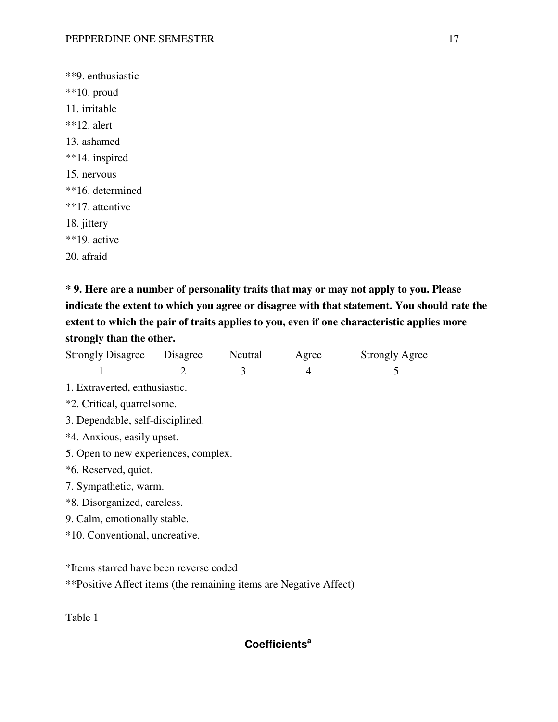\*\*9. enthusiastic \*\*10. proud 11. irritable  $*$ \*12. alert 13. ashamed \*\*14. inspired 15. nervous \*\*16. determined \*\*17. attentive 18. jittery \*\*19. active 20. afraid

**\* 9. Here are a number of personality traits that may or may not apply to you. Please indicate the extent to which you agree or disagree with that statement. You should rate the extent to which the pair of traits applies to you, even if one characteristic applies more strongly than the other.** 

| Strongly Disagree Disagree                                        |                                  | Neutral | Agree | <b>Strongly Agree</b> |  |  |  |
|-------------------------------------------------------------------|----------------------------------|---------|-------|-----------------------|--|--|--|
| 1                                                                 | 2                                | 3       | 4     | 5                     |  |  |  |
| 1. Extraverted, enthusiastic.                                     |                                  |         |       |                       |  |  |  |
| *2. Critical, quarrelsome.                                        |                                  |         |       |                       |  |  |  |
|                                                                   | 3. Dependable, self-disciplined. |         |       |                       |  |  |  |
| *4. Anxious, easily upset.                                        |                                  |         |       |                       |  |  |  |
| 5. Open to new experiences, complex.                              |                                  |         |       |                       |  |  |  |
| *6. Reserved, quiet.                                              |                                  |         |       |                       |  |  |  |
| 7. Sympathetic, warm.                                             |                                  |         |       |                       |  |  |  |
| *8. Disorganized, careless.                                       |                                  |         |       |                       |  |  |  |
| 9. Calm, emotionally stable.                                      |                                  |         |       |                       |  |  |  |
| *10. Conventional, uncreative.                                    |                                  |         |       |                       |  |  |  |
|                                                                   |                                  |         |       |                       |  |  |  |
| *Items starred have been reverse coded                            |                                  |         |       |                       |  |  |  |
| **Positive Affect items (the remaining items are Negative Affect) |                                  |         |       |                       |  |  |  |

Table 1

## **Coefficients<sup>a</sup>**